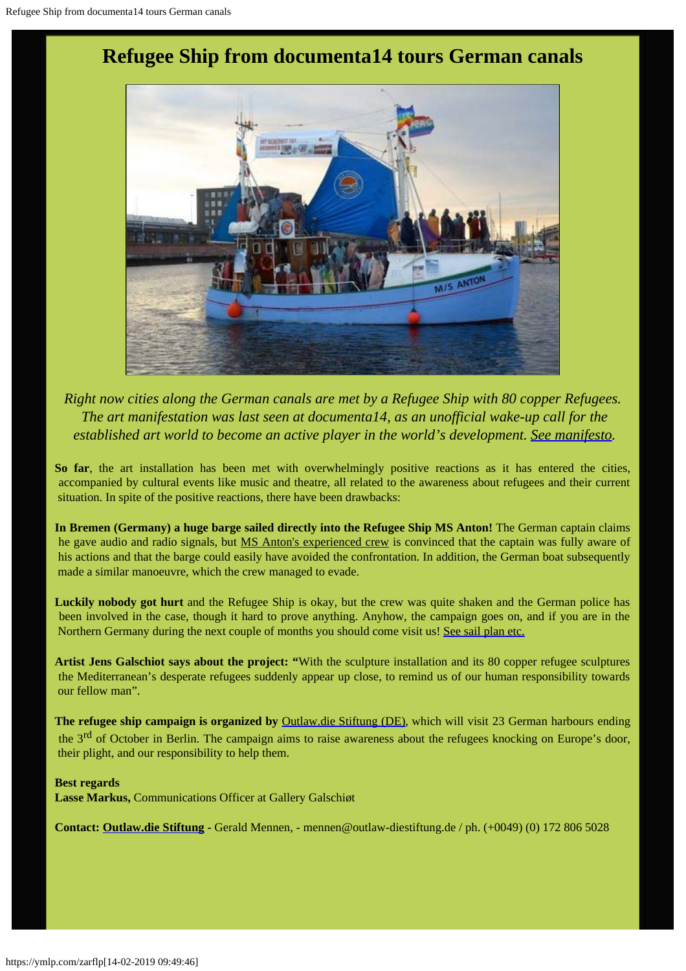# **Refugee Ship from documenta14 tours German canals**



*Right now cities along the German canals are met by a Refugee Ship with 80 copper Refugees. The art manifestation was last seen at documenta14, as an unofficial wake-up call for the established art world to become an active player in the world's development. [See manifesto](http://www.galschiot.com/wp-content/uploads/2017/06/documenta_manifesto_GB_Final.pdf).*

**So far**, the art installation has been met with overwhelmingly positive reactions as it has entered the cities, accompanied by cultural events like music and theatre, all related to the awareness about refugees and their current situation. In spite of the positive reactions, there have been drawbacks:

**In Bremen (Germany) a huge barge sailed directly into the Refugee Ship MS Anton!** The German captain claims he gave audio and radio signals, but [MS Anton's experienced crew](https://www.facebook.com/levendehav.dk/) is convinced that the captain was fully aware of his actions and that the barge could easily have avoided the confrontation. In addition, the German boat subsequently made a similar manoeuvre, which the crew managed to evade.

**Luckily nobody got hurt** and the Refugee Ship is okay, but the crew was quite shaken and the German police has been involved in the case, though it hard to prove anything. Anyhow, the campaign goes on, and if you are in the Northern Germany during the next couple of months you should come visit us! [See sail plan etc.](http://www.outlaw-diestiftung.de/aktivitaeten/veranstaltungen/mit-sicherheit-gut-ankommen/die-route/#c145)

**Artist Jens Galschiot says about the project: "**With the sculpture installation and its 80 copper refugee sculptures the Mediterranean's desperate refugees suddenly appear up close, to remind us of our human responsibility towards our fellow man".

The refugee ship campaign is organized by **[Outlaw.die Stiftung \(DE\)](http://www.outlaw-diestiftung.de/aktivitaeten/veranstaltungen/mit-sicherheit-gut-ankommen/die-route/)**, which will visit 23 German harbours ending the 3<sup>rd</sup> of October in Berlin. The campaign aims to raise awareness about the refugees knocking on Europe's door, their plight, and our responsibility to help them.

#### **Best regards**

**Lasse Markus,** Communications Officer at Gallery Galschiøt

**Contact: [Outlaw.die Stiftung](http://www.outlaw-diestiftung.de/home/) -** Gerald Mennen, - mennen@outlaw-diestiftung.de / ph. (+0049) (0) 172 806 5028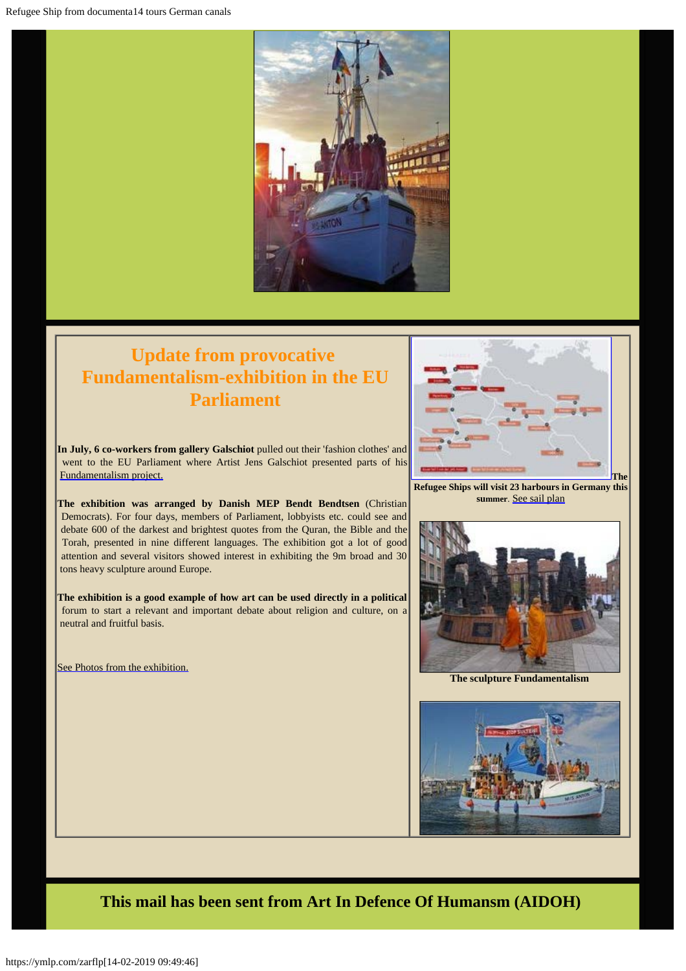

## **Update from provocative Fundamentalism-exhibition in the EU Parliament**

**In July, 6 co-workers from gallery Galschiot** pulled out their 'fashion clothes' and went to the EU Parliament where Artist Jens Galschiot presented parts of his [Fundamentalism project.](http://fundamentalism.dk/en/)

**The exhibition was arranged by Danish MEP Bendt Bendtsen** (Christian Democrats). For four days, members of Parliament, lobbyists etc. could see and debate 600 of the darkest and brightest quotes from the Quran, the Bible and the Torah, presented in nine different languages. The exhibition got a lot of good attention and several visitors showed interest in exhibiting the 9m broad and 30 tons heavy sculpture around Europe.

**The exhibition is a good example of how art can be used directly in a political** forum to start a relevant and important debate about religion and culture, on a neutral and fruitful basis.

[See Photos from the exhibition.](https://www.facebook.com/253793748077349/photos/pcb.1273647232758657/1273636556093058/?type=3&theater)



 **Refugee Ships will visit 23 harbours in Germany this summer**. [See sail plan](http://www.outlaw-diestiftung.de/aktivitaeten/veranstaltungen/mit-sicherheit-gut-ankommen/die-route/#c145)



**The sculpture Fundamentalism**



**This mail has been sent from Art In Defence Of Humansm (AIDOH)**